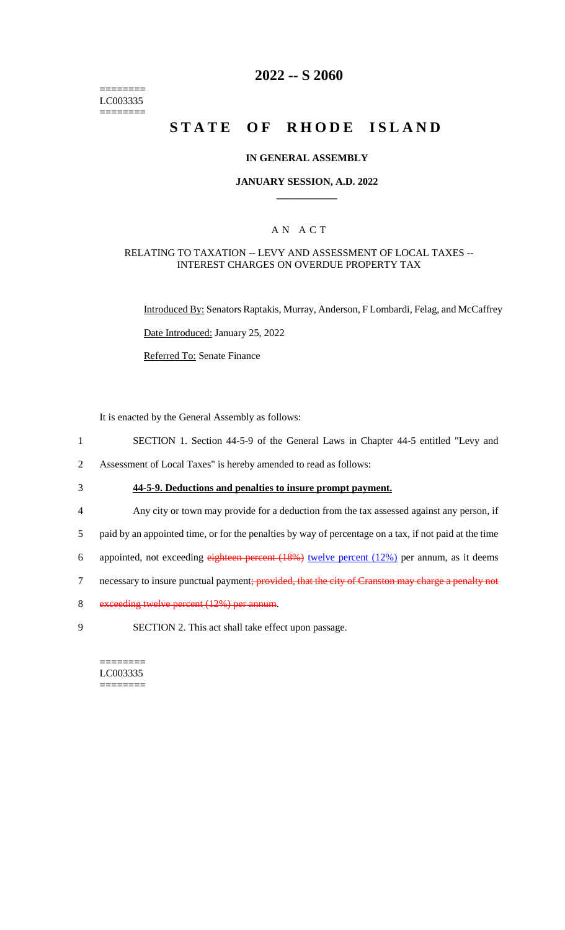======== LC003335 ========

# **2022 -- S 2060**

# **STATE OF RHODE ISLAND**

#### **IN GENERAL ASSEMBLY**

#### **JANUARY SESSION, A.D. 2022 \_\_\_\_\_\_\_\_\_\_\_\_**

## A N A C T

#### RELATING TO TAXATION -- LEVY AND ASSESSMENT OF LOCAL TAXES -- INTEREST CHARGES ON OVERDUE PROPERTY TAX

Introduced By: Senators Raptakis, Murray, Anderson, F Lombardi, Felag, and McCaffrey

Date Introduced: January 25, 2022

Referred To: Senate Finance

It is enacted by the General Assembly as follows:

- 1 SECTION 1. Section 44-5-9 of the General Laws in Chapter 44-5 entitled "Levy and
- 2 Assessment of Local Taxes" is hereby amended to read as follows:
- 

3 **44-5-9. Deductions and penalties to insure prompt payment.**

- 4 Any city or town may provide for a deduction from the tax assessed against any person, if
- 5 paid by an appointed time, or for the penalties by way of percentage on a tax, if not paid at the time
- 6 appointed, not exceeding eighteen percent  $(18%)$  twelve percent  $(12%)$  per annum, as it deems
- 7 necessary to insure punctual payment; provided, that the city of Cranston may charge a penalty not
- 8 exceeding twelve percent (12%) per annum.
- 9 SECTION 2. This act shall take effect upon passage.

======== LC003335 ========